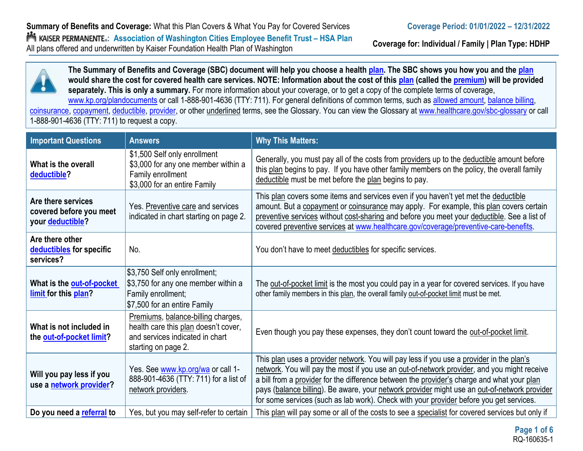**Coverage for: Individual / Family | Plan Type: HDHP**



| <b>Important Questions</b>                                        | <b>Answers</b>                                                                                                                       | <b>Why This Matters:</b>                                                                                                                                                                                                                                                                                                                                                                                                                                                         |
|-------------------------------------------------------------------|--------------------------------------------------------------------------------------------------------------------------------------|----------------------------------------------------------------------------------------------------------------------------------------------------------------------------------------------------------------------------------------------------------------------------------------------------------------------------------------------------------------------------------------------------------------------------------------------------------------------------------|
| What is the overall<br>deductible?                                | \$1,500 Self only enrollment<br>\$3,000 for any one member within a<br>Family enrollment<br>\$3,000 for an entire Family             | Generally, you must pay all of the costs from providers up to the deductible amount before<br>this plan begins to pay. If you have other family members on the policy, the overall family<br>deductible must be met before the plan begins to pay.                                                                                                                                                                                                                               |
| Are there services<br>covered before you meet<br>your deductible? | Yes. Preventive care and services<br>indicated in chart starting on page 2.                                                          | This plan covers some items and services even if you haven't yet met the deductible<br>amount. But a copayment or coinsurance may apply. For example, this plan covers certain<br>preventive services without cost-sharing and before you meet your deductible. See a list of<br>covered preventive services at www.healthcare.gov/coverage/preventive-care-benefits.                                                                                                            |
| Are there other<br>deductibles for specific<br>services?          | No.                                                                                                                                  | You don't have to meet deductibles for specific services.                                                                                                                                                                                                                                                                                                                                                                                                                        |
| What is the out-of-pocket<br>limit for this plan?                 | \$3,750 Self only enrollment;<br>\$3,750 for any one member within a<br>Family enrollment;<br>\$7,500 for an entire Family           | The out-of-pocket limit is the most you could pay in a year for covered services. If you have<br>other family members in this plan, the overall family out-of-pocket limit must be met.                                                                                                                                                                                                                                                                                          |
| What is not included in<br>the out-of-pocket limit?               | Premiums, balance-billing charges,<br>health care this plan doesn't cover,<br>and services indicated in chart<br>starting on page 2. | Even though you pay these expenses, they don't count toward the out-of-pocket limit.                                                                                                                                                                                                                                                                                                                                                                                             |
| Will you pay less if you<br>use a network provider?               | Yes. See www.kp.org/wa or call 1-<br>888-901-4636 (TTY: 711) for a list of<br>network providers.                                     | This plan uses a provider network. You will pay less if you use a provider in the plan's<br>network. You will pay the most if you use an out-of-network provider, and you might receive<br>a bill from a provider for the difference between the provider's charge and what your plan<br>pays (balance billing). Be aware, your network provider might use an out-of-network provider<br>for some services (such as lab work). Check with your provider before you get services. |
| Do you need a referral to                                         | Yes, but you may self-refer to certain                                                                                               | This plan will pay some or all of the costs to see a specialist for covered services but only if                                                                                                                                                                                                                                                                                                                                                                                 |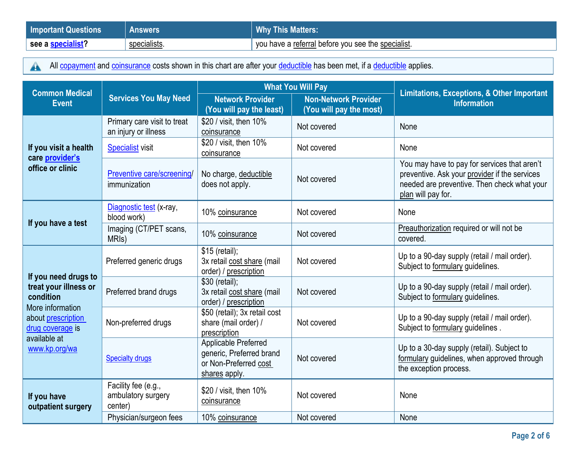| <b>Important Questions</b> | <b>Answers</b> | <b>Why This Matters:</b>                           |
|----------------------------|----------------|----------------------------------------------------|
| see a specialist?          | specialists.   | vou have a referral before you see the specialist. |

All copayment [and co](https://www.healthcare.gov/sbc-glossary/#copayment)ins[urance](https://www.healthcare.gov/sbc-glossary/#coinsurance) costs shown in this chart are after your deductible [has be](https://www.healthcare.gov/sbc-glossary/#deductible)en met, if a deductible [applie](https://www.healthcare.gov/sbc-glossary/#deductible)s.  $\triangle$ 

| <b>Common Medical</b>                                                      |                                                      | <b>What You Will Pay</b>                                                                   |                                                        | <b>Limitations, Exceptions, &amp; Other Important</b>                                                                                                              |  |
|----------------------------------------------------------------------------|------------------------------------------------------|--------------------------------------------------------------------------------------------|--------------------------------------------------------|--------------------------------------------------------------------------------------------------------------------------------------------------------------------|--|
| <b>Services You May Need</b><br><b>Event</b>                               |                                                      | <b>Network Provider</b><br>(You will pay the least)                                        | <b>Non-Network Provider</b><br>(You will pay the most) | <b>Information</b>                                                                                                                                                 |  |
|                                                                            | Primary care visit to treat<br>an injury or illness  | \$20 / visit, then 10%<br>coinsurance                                                      | Not covered                                            | None                                                                                                                                                               |  |
| If you visit a health<br>care provider's                                   | <b>Specialist visit</b>                              | \$20 / visit, then 10%<br>coinsurance                                                      | Not covered                                            | None                                                                                                                                                               |  |
| office or clinic                                                           | Preventive care/screening/<br>immunization           | No charge, deductible<br>does not apply.                                                   | Not covered                                            | You may have to pay for services that aren't<br>preventive. Ask your provider if the services<br>needed are preventive. Then check what your<br>plan will pay for. |  |
| If you have a test                                                         | Diagnostic test (x-ray,<br>blood work)               | 10% coinsurance                                                                            | Not covered                                            | None                                                                                                                                                               |  |
|                                                                            | Imaging (CT/PET scans,<br>MRI <sub>s</sub> )         | 10% coinsurance                                                                            | Not covered                                            | Preauthorization required or will not be<br>covered.                                                                                                               |  |
|                                                                            | Preferred generic drugs                              | $$15$ (retail);<br>3x retail cost share (mail<br>order) / prescription                     | Not covered                                            | Up to a 90-day supply (retail / mail order).<br>Subject to formulary guidelines.                                                                                   |  |
| If you need drugs to<br>treat your illness or<br>condition                 | Preferred brand drugs                                | \$30 (retail);<br>3x retail cost share (mail<br>order) / prescription                      | Not covered                                            | Up to a 90-day supply (retail / mail order).<br>Subject to formulary guidelines.                                                                                   |  |
| More information<br>about prescription<br>drug coverage is<br>available at | Non-preferred drugs                                  | \$50 (retail); 3x retail cost<br>share (mail order) /<br>prescription                      | Not covered                                            | Up to a 90-day supply (retail / mail order).<br>Subject to formulary guidelines.                                                                                   |  |
| www.kp.org/wa                                                              | <b>Specialty drugs</b>                               | Applicable Preferred<br>generic, Preferred brand<br>or Non-Preferred cost<br>shares apply. | Not covered                                            | Up to a 30-day supply (retail). Subject to<br>formulary guidelines, when approved through<br>the exception process.                                                |  |
| If you have<br>outpatient surgery                                          | Facility fee (e.g.,<br>ambulatory surgery<br>center) | \$20 / visit, then 10%<br>coinsurance                                                      | Not covered                                            | None                                                                                                                                                               |  |
|                                                                            | Physician/surgeon fees                               | 10% coinsurance                                                                            | Not covered                                            | None                                                                                                                                                               |  |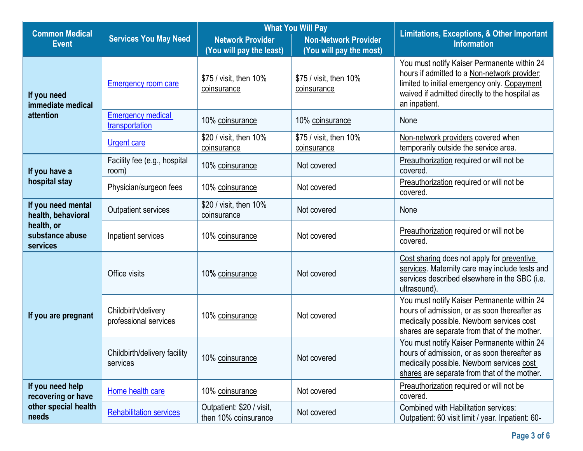| <b>What You Will Pay</b><br><b>Common Medical</b> |                                              |                                                     | <b>Limitations, Exceptions, &amp; Other Important</b>  |                                                                                                                                                                                                                |
|---------------------------------------------------|----------------------------------------------|-----------------------------------------------------|--------------------------------------------------------|----------------------------------------------------------------------------------------------------------------------------------------------------------------------------------------------------------------|
| <b>Event</b>                                      | <b>Services You May Need</b>                 | <b>Network Provider</b><br>(You will pay the least) | <b>Non-Network Provider</b><br>(You will pay the most) | <b>Information</b>                                                                                                                                                                                             |
| If you need<br>immediate medical                  | <b>Emergency room care</b>                   | \$75 / visit, then 10%<br>coinsurance               | \$75 / visit, then 10%<br>coinsurance                  | You must notify Kaiser Permanente within 24<br>hours if admitted to a Non-network provider;<br>limited to initial emergency only. Copayment<br>waived if admitted directly to the hospital as<br>an inpatient. |
| attention                                         | <b>Emergency medical</b><br>transportation   | 10% coinsurance                                     | 10% coinsurance                                        | None                                                                                                                                                                                                           |
|                                                   | <b>Urgent care</b>                           | \$20 / visit, then 10%<br>coinsurance               | \$75 / visit, then 10%<br>coinsurance                  | Non-network providers covered when<br>temporarily outside the service area.                                                                                                                                    |
| If you have a                                     | Facility fee (e.g., hospital<br>room)        | 10% coinsurance                                     | Not covered                                            | Preauthorization required or will not be<br>covered.                                                                                                                                                           |
| hospital stay                                     | Physician/surgeon fees                       | 10% coinsurance                                     | Not covered                                            | Preauthorization required or will not be<br>covered.                                                                                                                                                           |
| If you need mental<br>health, behavioral          | <b>Outpatient services</b>                   | \$20 / visit, then 10%<br>coinsurance               | Not covered                                            | None                                                                                                                                                                                                           |
| health, or<br>substance abuse<br>services         | Inpatient services                           | 10% coinsurance                                     | Not covered                                            | Preauthorization required or will not be<br>covered.                                                                                                                                                           |
|                                                   | Office visits                                | 10% coinsurance                                     | Not covered                                            | Cost sharing does not apply for preventive<br>services. Maternity care may include tests and<br>services described elsewhere in the SBC (i.e.<br>ultrasound).                                                  |
| If you are pregnant                               | Childbirth/delivery<br>professional services | 10% coinsurance                                     | Not covered                                            | You must notify Kaiser Permanente within 24<br>hours of admission, or as soon thereafter as<br>medically possible. Newborn services cost<br>shares are separate from that of the mother.                       |
|                                                   | Childbirth/delivery facility<br>services     | 10% coinsurance                                     | Not covered                                            | You must notify Kaiser Permanente within 24<br>hours of admission, or as soon thereafter as<br>medically possible. Newborn services cost<br>shares are separate from that of the mother.                       |
| If you need help<br>recovering or have            | Home health care                             | 10% coinsurance                                     | Not covered                                            | Preauthorization required or will not be<br>covered.                                                                                                                                                           |
| other special health<br>needs                     | <b>Rehabilitation services</b>               | Outpatient: \$20 / visit,<br>then 10% coinsurance   | Not covered                                            | <b>Combined with Habilitation services:</b><br>Outpatient: 60 visit limit / year. Inpatient: 60-                                                                                                               |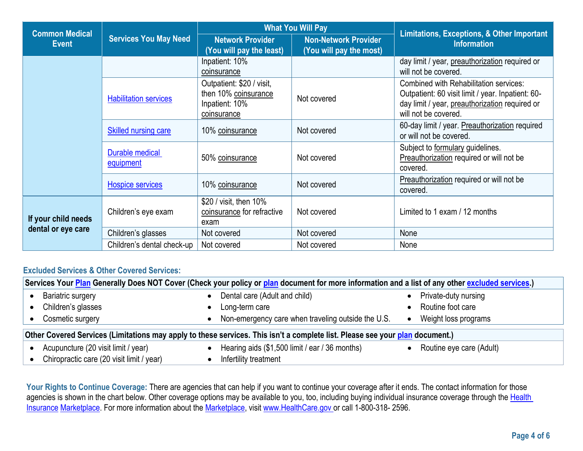| <b>What You Will Pay</b><br><b>Common Medical</b><br><b>Services You May Need</b><br><b>Network Provider</b><br><b>Event</b><br>(You will pay the least) |                              |                                                                                    | Limitations, Exceptions, & Other Important             |                                                                                                                                                                       |
|----------------------------------------------------------------------------------------------------------------------------------------------------------|------------------------------|------------------------------------------------------------------------------------|--------------------------------------------------------|-----------------------------------------------------------------------------------------------------------------------------------------------------------------------|
|                                                                                                                                                          |                              |                                                                                    | <b>Non-Network Provider</b><br>(You will pay the most) | <b>Information</b>                                                                                                                                                    |
|                                                                                                                                                          |                              | Inpatient: 10%<br>coinsurance                                                      |                                                        | day limit / year, preauthorization required or<br>will not be covered.                                                                                                |
|                                                                                                                                                          | <b>Habilitation services</b> | Outpatient: \$20 / visit,<br>then 10% coinsurance<br>Inpatient: 10%<br>coinsurance | Not covered                                            | Combined with Rehabilitation services:<br>Outpatient: 60 visit limit / year. Inpatient: 60-<br>day limit / year, preauthorization required or<br>will not be covered. |
|                                                                                                                                                          | <b>Skilled nursing care</b>  | 10% coinsurance                                                                    | Not covered                                            | 60-day limit / year. Preauthorization required<br>or will not be covered.                                                                                             |
|                                                                                                                                                          | Durable medical<br>equipment | 50% coinsurance                                                                    | Not covered                                            | Subject to formulary guidelines.<br>Preauthorization required or will not be<br>covered.                                                                              |
|                                                                                                                                                          | Hospice services             | 10% coinsurance                                                                    | Not covered                                            | Preauthorization required or will not be<br>covered.                                                                                                                  |
| If your child needs                                                                                                                                      | Children's eye exam          | \$20 / visit, then 10%<br>coinsurance for refractive<br>exam                       | Not covered                                            | Limited to 1 exam / 12 months                                                                                                                                         |
| dental or eye care                                                                                                                                       | Children's glasses           | Not covered                                                                        | Not covered                                            | None                                                                                                                                                                  |
|                                                                                                                                                          | Children's dental check-up   | Not covered                                                                        | Not covered                                            | None                                                                                                                                                                  |

## **Excluded Services & Other Covered Services:**

|                                                                                                                              | Services Your Plan Generally Does NOT Cover (Check your policy or plan document for more information and a list of any other excluded services.) |  |                                                    |  |                          |
|------------------------------------------------------------------------------------------------------------------------------|--------------------------------------------------------------------------------------------------------------------------------------------------|--|----------------------------------------------------|--|--------------------------|
|                                                                                                                              | <b>Bariatric surgery</b>                                                                                                                         |  | Dental care (Adult and child)                      |  | Private-duty nursing     |
|                                                                                                                              | Children's glasses                                                                                                                               |  | Long-term care                                     |  | Routine foot care        |
|                                                                                                                              | Cosmetic surgery                                                                                                                                 |  | Non-emergency care when traveling outside the U.S. |  | Weight loss programs     |
| Other Covered Services (Limitations may apply to these services. This isn't a complete list. Please see your plan document.) |                                                                                                                                                  |  |                                                    |  |                          |
|                                                                                                                              | Acupuncture (20 visit limit / year)                                                                                                              |  | Hearing aids (\$1,500 limit / ear / 36 months)     |  | Routine eye care (Adult) |
|                                                                                                                              | Chiropractic care (20 visit limit / year)                                                                                                        |  | Infertility treatment                              |  |                          |

**Your Rights to Continue Coverage:** There are agencies that can help if you want to continue your coverage after it ends. The contact information for those agencies is shown in the chart below. Other coverage options may be available to you, too, including buying individual insurance coverage through the Health [Insurance](https://www.healthcare.gov/sbc-glossary/#health-insurance) [Marketplace.](https://www.healthcare.gov/sbc-glossary/#marketplace) For more information about the [Marketplace,](https://www.healthcare.gov/sbc-glossary/#marketplace) visit [www.HealthCare.gov](http://www.healthcare.gov/) or call 1-800-318- 2596.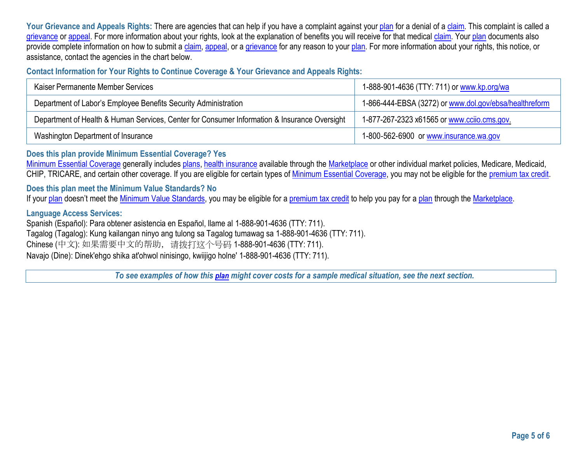Your Grievance and Appeals Rights: There are agencies that can help if you have a complaint against you[r plan](https://www.healthcare.gov/sbc-glossary/#plan) for a denial of a [claim.](https://www.healthcare.gov/sbc-glossary/#claim) This complaint is called a [grievance](https://www.healthcare.gov/sbc-glossary/#grievance) or [appeal.](https://www.healthcare.gov/sbc-glossary/#appeal) For more information about your rights, look at the explanation of benefits you will receive for that medical [claim.](https://www.healthcare.gov/sbc-glossary/#claim) You[r plan](https://www.healthcare.gov/sbc-glossary/#plan) documents also provide complete information on how to submit a [claim,](https://www.healthcare.gov/sbc-glossary/#claim) [appeal,](https://www.healthcare.gov/sbc-glossary/#appeal) or a [grievance](https://www.healthcare.gov/sbc-glossary/#grievance) for any reason to your [plan.](https://www.healthcare.gov/sbc-glossary/#plan) For more information about your rights, this notice, or assistance, contact the agencies in the chart below.

**Contact Information for Your Rights to Continue Coverage & Your Grievance and Appeals Rights:** 

| Kaiser Permanente Member Services                                                            | 1-888-901-4636 (TTY: 711) or www.kp.org/wa             |
|----------------------------------------------------------------------------------------------|--------------------------------------------------------|
| Department of Labor's Employee Benefits Security Administration                              | 1-866-444-EBSA (3272) or www.dol.gov/ebsa/healthreform |
| Department of Health & Human Services, Center for Consumer Information & Insurance Oversight | 1-877-267-2323 x61565 or www.ccijo.cms.gov             |
| Washington Department of Insurance                                                           | 1-800-562-6900 or www.insurance.wa.gov                 |

**Does this plan provide Minimum Essential Coverage? Yes**

[Minimum Essential Coverage](https://www.healthcare.gov/sbc-glossary/#minimum-essential-coverage) generally includes [plans,](https://www.healthcare.gov/sbc-glossary/#plan) [health insurance](https://www.healthcare.gov/sbc-glossary/#health-insurance) available through the [Marketplace](https://www.healthcare.gov/sbc-glossary/#marketplace) or other individual market policies, Medicare, Medicaid, CHIP, TRICARE, and certain other coverage. If you are eligible for certain types of [Minimum Essential Coverage,](https://www.healthcare.gov/sbc-glossary/#minimum-essential-coverage) you may not be eligible for the [premium tax credit.](https://www.healthcare.gov/sbc-glossary/#premium-tax-credits)

**Does this plan meet the Minimum Value Standards? No**

If your [plan](https://www.healthcare.gov/sbc-glossary/#plan) doesn't meet the [Minimum Value Standards,](https://www.healthcare.gov/sbc-glossary/#minimum-value-standard) you may be eligible for a [premium tax credit](https://www.healthcare.gov/sbc-glossary/#premium-tax-credits) to help you pay for a plan through the [Marketplace.](https://www.healthcare.gov/sbc-glossary/#marketplace)

**Language Access Services:**

Spanish (Español): Para obtener asistencia en Español, llame al 1-888-901-4636 (TTY: 711). Tagalog (Tagalog): Kung kailangan ninyo ang tulong sa Tagalog tumawag sa 1-888-901-4636 (TTY: 711). Chinese (中文): 如果需要中文的帮助,请拨打这个号码 1-888-901-4636 (TTY: 711). Navajo (Dine): Dinek'ehgo shika at'ohwol ninisingo, kwiijigo holne' 1-888-901-4636 (TTY: 711).

*To see examples of how this plan might cover costs for a sample medical situation, see the next section.*